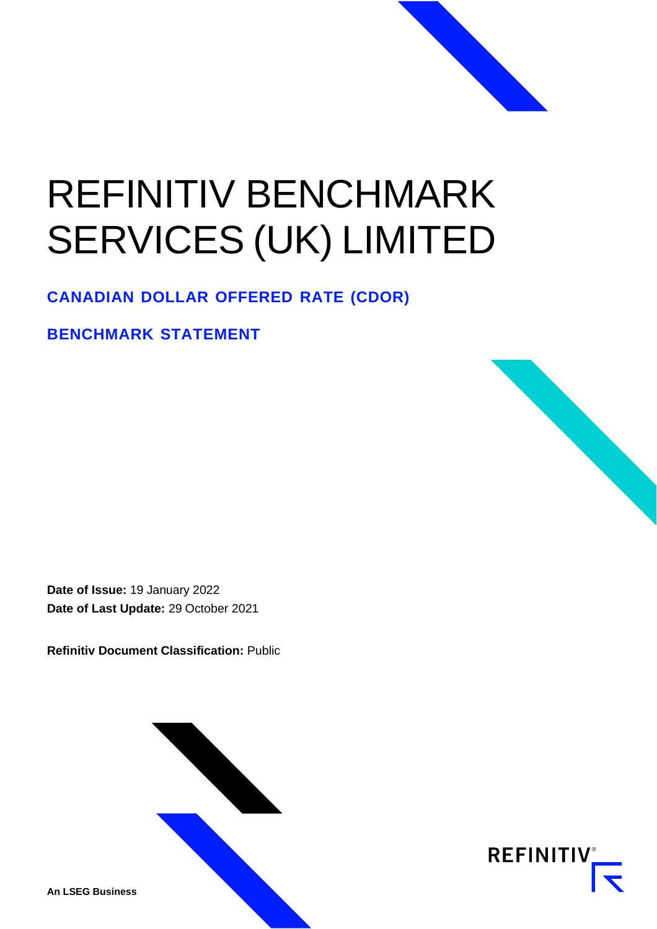# REFINITIV BENCHMARK SERVICES (UK) LIMITED

**CANADIAN DOLLAR OFFERED RATE (CDOR)**

**BENCHMARK STATEMENT**

**Date of Issue:** 19 January 2022 **Date of Last Update:** 29 October 2021

**Refinitiv Document Classification:** Public





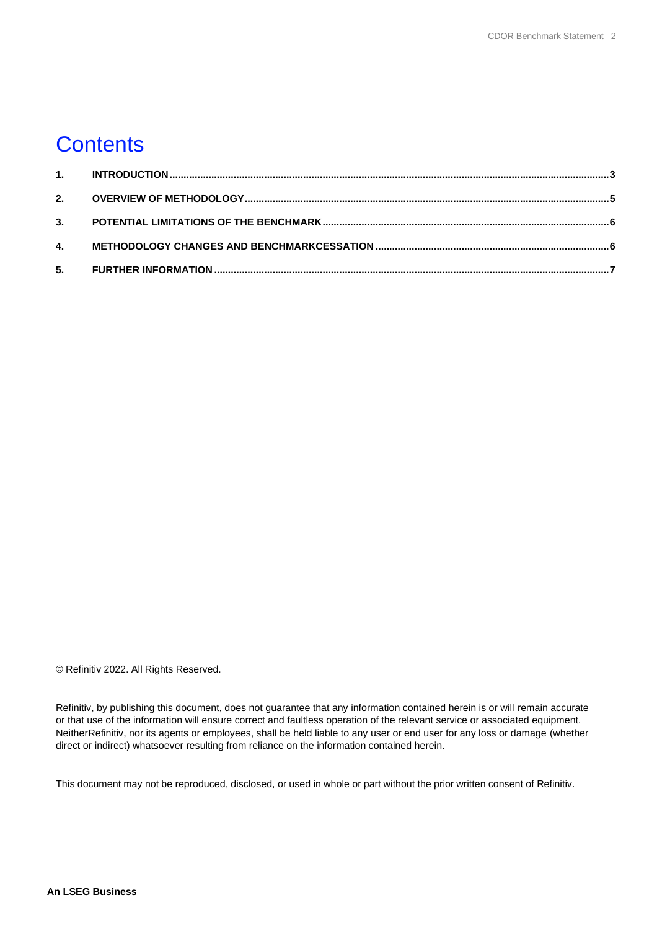#### **Contents**

© Refinitiv 2022. All Rights Reserved.

Refinitiv, by publishing this document, does not guarantee that any information contained herein is or will remain accurate or that use of the information will ensure correct and faultless operation of the relevant service or associated equipment. NeitherRefinitiv, nor its agents or employees, shall be held liable to any user or end user for any loss or damage (whether direct or indirect) whatsoever resulting from reliance on the information contained herein.

This document may not be reproduced, disclosed, or used in whole or part without the prior written consent of Refinitiv.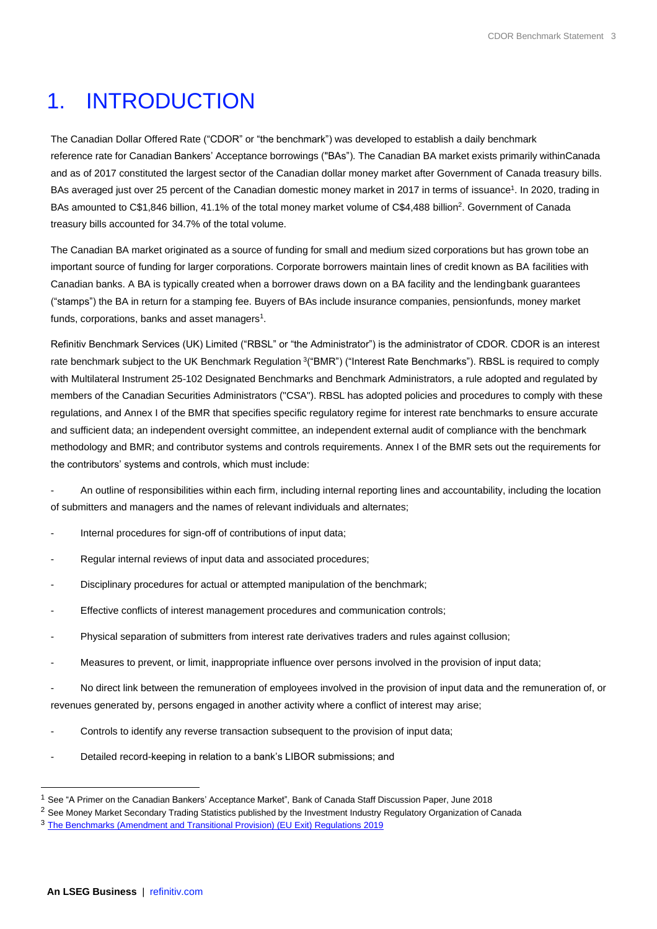## <span id="page-2-0"></span>1. INTRODUCTION

The Canadian Dollar Offered Rate ("CDOR" or "the benchmark") was developed to establish a daily benchmark reference rate for Canadian Bankers' Acceptance borrowings ("BAs"). The Canadian BA market exists primarily withinCanada and as of 2017 constituted the largest sector of the Canadian dollar money market after Government of Canada treasury bills. BAs averaged just over 25 percent of the Canadian domestic money market in 2017 in terms of issuance<sup>1</sup>. In 2020, trading in BAs amounted to C\$1,846 billion, 41.1% of the total money market volume of C\$4,488 billion<sup>2</sup>. Government of Canada treasury bills accounted for 34.7% of the total volume.

The Canadian BA market originated as a source of funding for small and medium sized corporations but has grown tobe an important source of funding for larger corporations. Corporate borrowers maintain lines of credit known as BA facilities with Canadian banks. A BA is typically created when a borrower draws down on a BA facility and the lendingbank guarantees ("stamps") the BA in return for a stamping fee. Buyers of BAs include insurance companies, pensionfunds, money market funds, corporations, banks and asset managers $^{\text{1}}$ .

Refinitiv Benchmark Services (UK) Limited ("RBSL" or "the Administrator") is the administrator of CDOR. CDOR is an interest rate benchmark subject to the UK Benchmark Regulation <sup>3</sup>("BMR") ("Interest Rate Benchmarks"). RBSL is required to comply with Multilateral Instrument 25-102 Designated Benchmarks and Benchmark Administrators, a rule adopted and regulated by members of the Canadian Securities Administrators ("CSA"). RBSL has adopted policies and procedures to comply with these regulations, and Annex I of the BMR that specifies specific regulatory regime for interest rate benchmarks to ensure accurate and sufficient data; an independent oversight committee, an independent external audit of compliance with the benchmark methodology and BMR; and contributor systems and controls requirements. Annex I of the BMR sets out the requirements for the contributors' systems and controls, which must include:

- An outline of responsibilities within each firm, including internal reporting lines and accountability, including the location of submitters and managers and the names of relevant individuals and alternates;

- Internal procedures for sign-off of contributions of input data;
- Regular internal reviews of input data and associated procedures;
- Disciplinary procedures for actual or attempted manipulation of the benchmark;
- Effective conflicts of interest management procedures and communication controls;
- Physical separation of submitters from interest rate derivatives traders and rules against collusion;
- Measures to prevent, or limit, inappropriate influence over persons involved in the provision of input data;

- No direct link between the remuneration of employees involved in the provision of input data and the remuneration of, or revenues generated by, persons engaged in another activity where a conflict of interest may arise;

- Controls to identify any reverse transaction subsequent to the provision of input data;
- Detailed record-keeping in relation to a bank's LIBOR submissions; and

<sup>1</sup> See "A Primer on the Canadian Bankers' Acceptance Market", Bank of Canada Staff Discussion Paper, June 2018

<sup>&</sup>lt;sup>2</sup> See Money Market Secondary Trading Statistics published by the Investment Industry Regulatory Organization of Canada

<sup>&</sup>lt;sup>3</sup> [The Benchmarks \(Amendment and Transitional Provision\) \(EU Exit\) Regulations 2019](https://www.legislation.gov.uk/uksi/2019/657/made)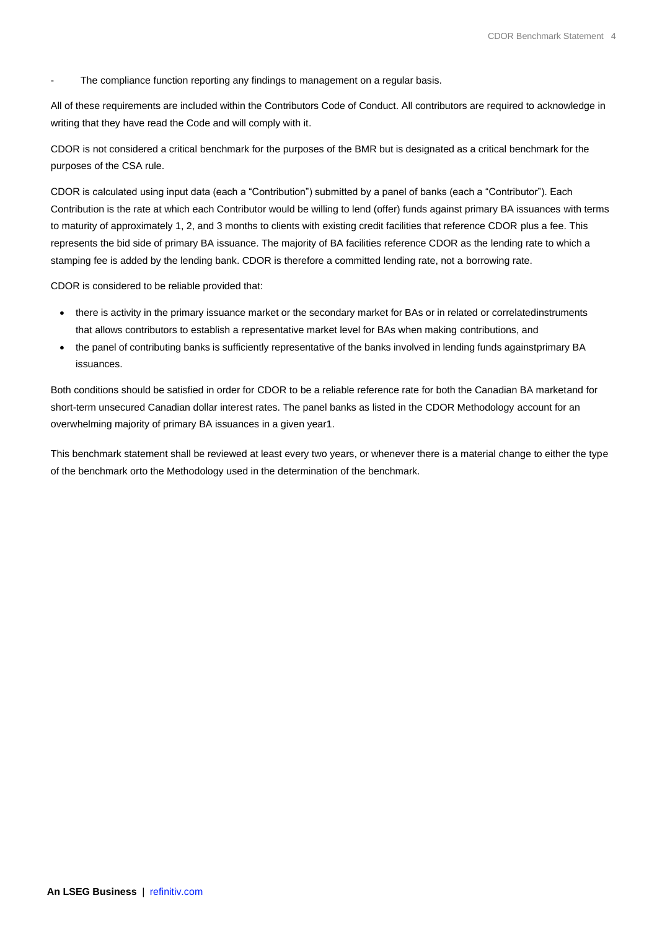The compliance function reporting any findings to management on a regular basis.

All of these requirements are included within the Contributors Code of Conduct. All contributors are required to acknowledge in writing that they have read the Code and will comply with it.

CDOR is not considered a critical benchmark for the purposes of the BMR but is designated as a critical benchmark for the purposes of the CSA rule.

CDOR is calculated using input data (each a "Contribution") submitted by a panel of banks (each a "Contributor"). Each Contribution is the rate at which each Contributor would be willing to lend (offer) funds against primary BA issuances with terms to maturity of approximately 1, 2, and 3 months to clients with existing credit facilities that reference CDOR plus a fee. This represents the bid side of primary BA issuance. The majority of BA facilities reference CDOR as the lending rate to which a stamping fee is added by the lending bank. CDOR is therefore a committed lending rate, not a borrowing rate.

CDOR is considered to be reliable provided that:

- there is activity in the primary issuance market or the secondary market for BAs or in related or correlatedinstruments that allows contributors to establish a representative market level for BAs when making contributions, and
- the panel of contributing banks is sufficiently representative of the banks involved in lending funds againstprimary BA issuances.

Both conditions should be satisfied in order for CDOR to be a reliable reference rate for both the Canadian BA marketand for short-term unsecured Canadian dollar interest rates. The panel banks as listed in the CDOR Methodology account for an overwhelming majority of primary BA issuances in a given year1.

This benchmark statement shall be reviewed at least every two years, or whenever there is a material change to either the type of the benchmark orto the Methodology used in the determination of the benchmark.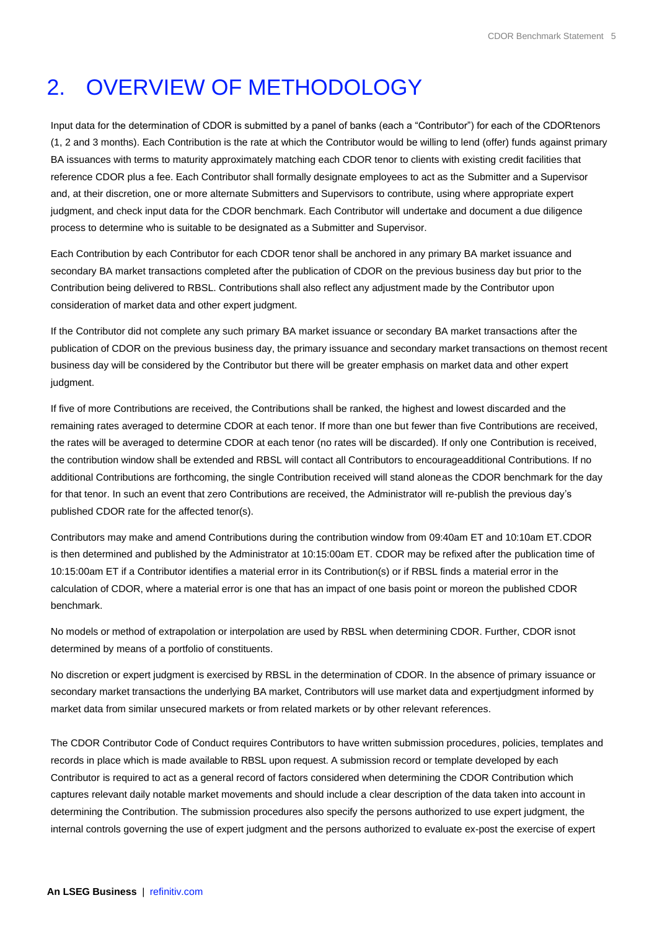# <span id="page-4-0"></span>2. OVERVIEW OF METHODOLOGY

Input data for the determination of CDOR is submitted by a panel of banks (each a "Contributor") for each of the CDORtenors (1, 2 and 3 months). Each Contribution is the rate at which the Contributor would be willing to lend (offer) funds against primary BA issuances with terms to maturity approximately matching each CDOR tenor to clients with existing credit facilities that reference CDOR plus a fee. Each Contributor shall formally designate employees to act as the Submitter and a Supervisor and, at their discretion, one or more alternate Submitters and Supervisors to contribute, using where appropriate expert judgment, and check input data for the CDOR benchmark. Each Contributor will undertake and document a due diligence process to determine who is suitable to be designated as a Submitter and Supervisor.

Each Contribution by each Contributor for each CDOR tenor shall be anchored in any primary BA market issuance and secondary BA market transactions completed after the publication of CDOR on the previous business day but prior to the Contribution being delivered to RBSL. Contributions shall also reflect any adjustment made by the Contributor upon consideration of market data and other expert judgment.

If the Contributor did not complete any such primary BA market issuance or secondary BA market transactions after the publication of CDOR on the previous business day, the primary issuance and secondary market transactions on themost recent business day will be considered by the Contributor but there will be greater emphasis on market data and other expert judgment.

If five of more Contributions are received, the Contributions shall be ranked, the highest and lowest discarded and the remaining rates averaged to determine CDOR at each tenor. If more than one but fewer than five Contributions are received, the rates will be averaged to determine CDOR at each tenor (no rates will be discarded). If only one Contribution is received, the contribution window shall be extended and RBSL will contact all Contributors to encourageadditional Contributions. If no additional Contributions are forthcoming, the single Contribution received will stand aloneas the CDOR benchmark for the day for that tenor. In such an event that zero Contributions are received, the Administrator will re-publish the previous day's published CDOR rate for the affected tenor(s).

Contributors may make and amend Contributions during the contribution window from 09:40am ET and 10:10am ET.CDOR is then determined and published by the Administrator at 10:15:00am ET. CDOR may be refixed after the publication time of 10:15:00am ET if a Contributor identifies a material error in its Contribution(s) or if RBSL finds a material error in the calculation of CDOR, where a material error is one that has an impact of one basis point or moreon the published CDOR benchmark.

No models or method of extrapolation or interpolation are used by RBSL when determining CDOR. Further, CDOR isnot determined by means of a portfolio of constituents.

No discretion or expert judgment is exercised by RBSL in the determination of CDOR. In the absence of primary issuance or secondary market transactions the underlying BA market, Contributors will use market data and expertjudgment informed by market data from similar unsecured markets or from related markets or by other relevant references.

The CDOR Contributor Code of Conduct requires Contributors to have written submission procedures, policies, templates and records in place which is made available to RBSL upon request. A submission record or template developed by each Contributor is required to act as a general record of factors considered when determining the CDOR Contribution which captures relevant daily notable market movements and should include a clear description of the data taken into account in determining the Contribution. The submission procedures also specify the persons authorized to use expert judgment, the internal controls governing the use of expert judgment and the persons authorized to evaluate ex-post the exercise of expert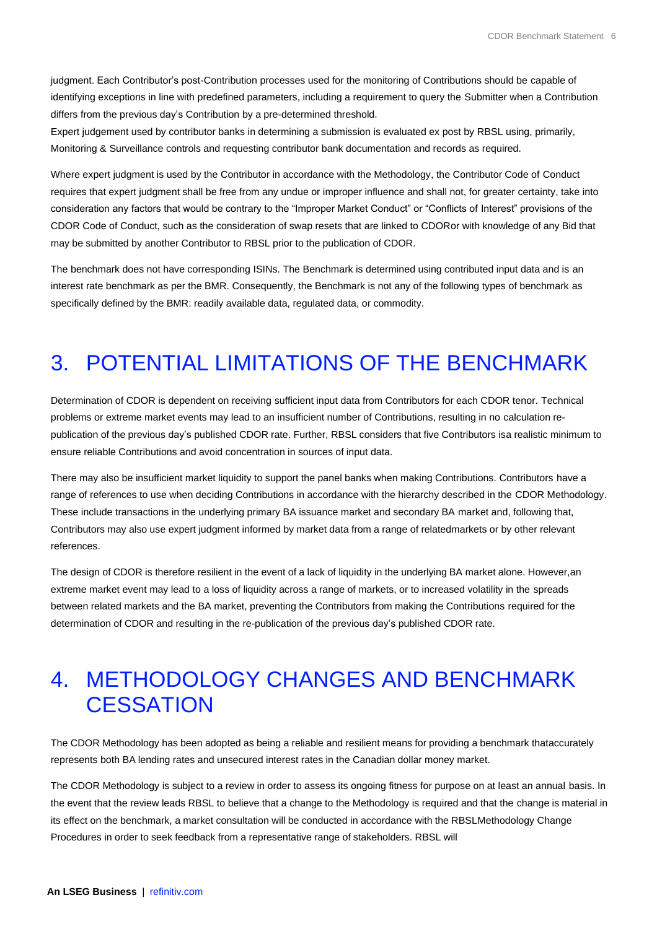judgment. Each Contributor's post-Contribution processes used for the monitoring of Contributions should be capable of identifying exceptions in line with predefined parameters, including a requirement to query the Submitter when a Contribution differs from the previous day's Contribution by a pre-determined threshold.

Expert judgement used by contributor banks in determining a submission is evaluated ex post by RBSL using, primarily, Monitoring & Surveillance controls and requesting contributor bank documentation and records as required.

Where expert judgment is used by the Contributor in accordance with the Methodology, the Contributor Code of Conduct requires that expert judgment shall be free from any undue or improper influence and shall not, for greater certainty, take into consideration any factors that would be contrary to the "Improper Market Conduct" or "Conflicts of Interest" provisions of the CDOR Code of Conduct, such as the consideration of swap resets that are linked to CDORor with knowledge of any Bid that may be submitted by another Contributor to RBSL prior to the publication of CDOR.

The benchmark does not have corresponding ISINs. The Benchmark is determined using contributed input data and is an interest rate benchmark as per the BMR. Consequently, the Benchmark is not any of the following types of benchmark as specifically defined by the BMR: readily available data, regulated data, or commodity.

# <span id="page-5-0"></span>3. POTENTIAL LIMITATIONS OF THE BENCHMARK

Determination of CDOR is dependent on receiving sufficient input data from Contributors for each CDOR tenor. Technical problems or extreme market events may lead to an insufficient number of Contributions, resulting in no calculation republication of the previous day's published CDOR rate. Further, RBSL considers that five Contributors isa realistic minimum to ensure reliable Contributions and avoid concentration in sources of input data.

There may also be insufficient market liquidity to support the panel banks when making Contributions. Contributors have a range of references to use when deciding Contributions in accordance with the hierarchy described in the CDOR Methodology. These include transactions in the underlying primary BA issuance market and secondary BA market and, following that, Contributors may also use expert judgment informed by market data from a range of relatedmarkets or by other relevant references.

The design of CDOR is therefore resilient in the event of a lack of liquidity in the underlying BA market alone. However,an extreme market event may lead to a loss of liquidity across a range of markets, or to increased volatility in the spreads between related markets and the BA market, preventing the Contributors from making the Contributions required for the determination of CDOR and resulting in the re-publication of the previous day's published CDOR rate.

#### <span id="page-5-1"></span>4. METHODOLOGY CHANGES AND BENCHMARK **CESSATION**

The CDOR Methodology has been adopted as being a reliable and resilient means for providing a benchmark thataccurately represents both BA lending rates and unsecured interest rates in the Canadian dollar money market.

The CDOR Methodology is subject to a review in order to assess its ongoing fitness for purpose on at least an annual basis. In the event that the review leads RBSL to believe that a change to the Methodology is required and that the change is material in its effect on the benchmark, a market consultation will be conducted in accordance with the RBSLMethodology Change Procedures in order to seek feedback from a representative range of stakeholders. RBSL will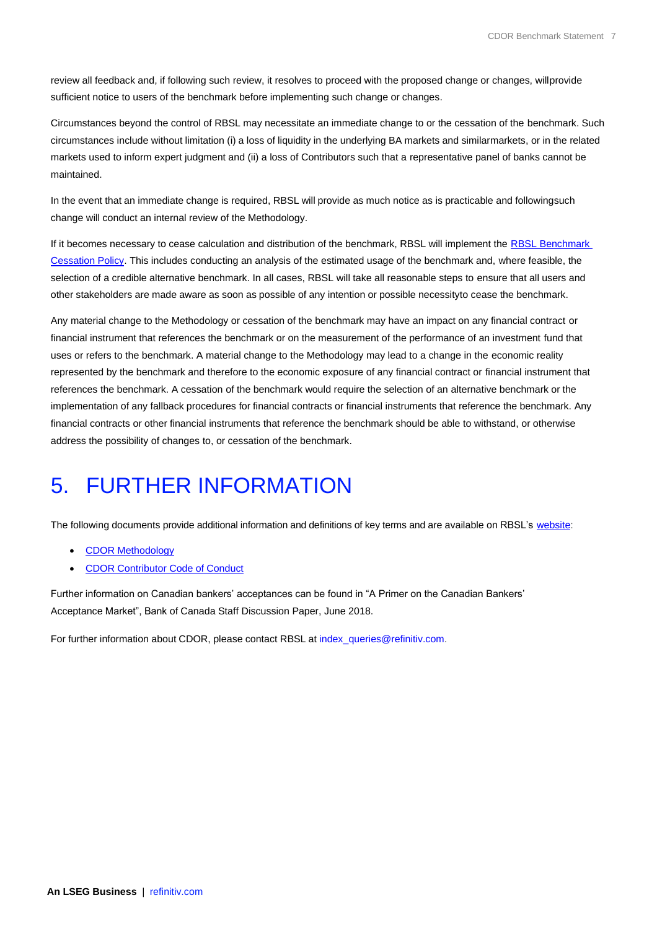review all feedback and, if following such review, it resolves to proceed with the proposed change or changes, willprovide sufficient notice to users of the benchmark before implementing such change or changes.

Circumstances beyond the control of RBSL may necessitate an immediate change to or the cessation of the benchmark. Such circumstances include without limitation (i) a loss of liquidity in the underlying BA markets and similarmarkets, or in the related markets used to inform expert judgment and (ii) a loss of Contributors such that a representative panel of banks cannot be maintained.

In the event that an immediate change is required, RBSL will provide as much notice as is practicable and followingsuch change will conduct an internal review of the Methodology.

If it becomes necessary to cease calculation and distribution of the benchmark, RBSL will implement the RBSL Benchmark [Cessation Policy.](https://www.refinitiv.com/content/dam/marketing/en_us/documents/methodology/rbsl-benchmark-methodology-change-cessation-policy.pdf) This includes conducting an analysis of the estimated usage of the benchmark and, where feasible, the selection of a credible alternative benchmark. In all cases, RBSL will take all reasonable steps to ensure that all users and other stakeholders are made aware as soon as possible of any intention or possible necessityto cease the benchmark.

Any material change to the Methodology or cessation of the benchmark may have an impact on any financial contract or financial instrument that references the benchmark or on the measurement of the performance of an investment fund that uses or refers to the benchmark. A material change to the Methodology may lead to a change in the economic reality represented by the benchmark and therefore to the economic exposure of any financial contract or financial instrument that references the benchmark. A cessation of the benchmark would require the selection of an alternative benchmark or the implementation of any fallback procedures for financial contracts or financial instruments that reference the benchmark. Any financial contracts or other financial instruments that reference the benchmark should be able to withstand, or otherwise address the possibility of changes to, or cessation of the benchmark.

## <span id="page-6-0"></span>5. FURTHER INFORMATION

The following documents provide additional information and definitions of key terms and are available on RBSL's [website:](https://www.refinitiv.com/en/financial-data/financial-benchmarks/interest-rate-benchmarks/canadian-interest-rates)

- CDOR [Methodology](https://www.refinitiv.com/content/dam/marketing/en_us/documents/methodology/cdor-methodology.pdf)
- CDOR [Contributor](https://www.refinitiv.com/content/dam/marketing/en_us/documents/methodology/cdor-contributor-code-of-conduct.pdf) Code of Conduct

Further information on Canadian bankers' acceptances can be found in "A Primer on the Canadian Bankers' Acceptance Market", Bank of Canada Staff Discussion Paper, June 2018.

For further information about CDOR, please contact RBSL at [index\\_queries@refinitiv.com.](mailto:index_queries@refinitiv.com)